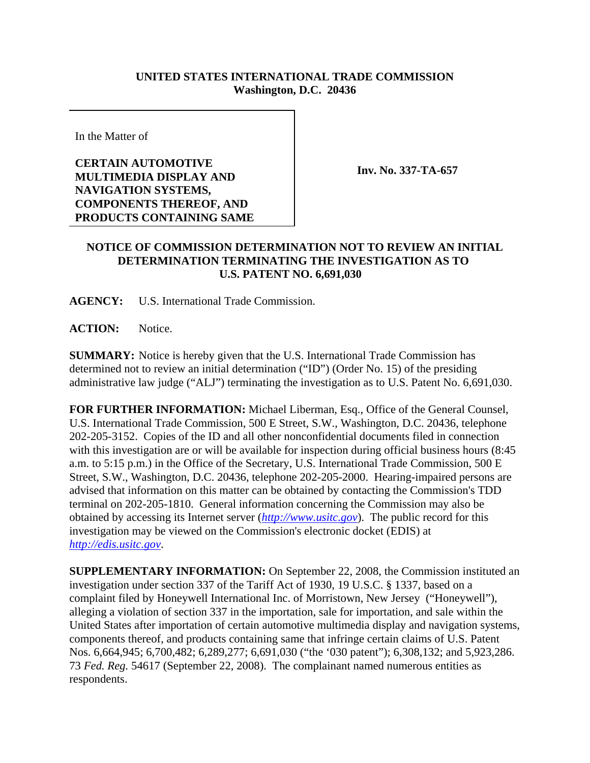## **UNITED STATES INTERNATIONAL TRADE COMMISSION Washington, D.C. 20436**

In the Matter of

**CERTAIN AUTOMOTIVE MULTIMEDIA DISPLAY AND NAVIGATION SYSTEMS, COMPONENTS THEREOF, AND PRODUCTS CONTAINING SAME**

**Inv. No. 337-TA-657**

## **NOTICE OF COMMISSION DETERMINATION NOT TO REVIEW AN INITIAL DETERMINATION TERMINATING THE INVESTIGATION AS TO U.S. PATENT NO. 6,691,030**

**AGENCY:** U.S. International Trade Commission.

**ACTION:** Notice.

**SUMMARY:** Notice is hereby given that the U.S. International Trade Commission has determined not to review an initial determination ("ID") (Order No. 15) of the presiding administrative law judge ("ALJ") terminating the investigation as to U.S. Patent No. 6,691,030.

**FOR FURTHER INFORMATION:** Michael Liberman, Esq., Office of the General Counsel, U.S. International Trade Commission, 500 E Street, S.W., Washington, D.C. 20436, telephone 202-205-3152. Copies of the ID and all other nonconfidential documents filed in connection with this investigation are or will be available for inspection during official business hours (8:45 a.m. to 5:15 p.m.) in the Office of the Secretary, U.S. International Trade Commission, 500 E Street, S.W., Washington, D.C. 20436, telephone 202-205-2000. Hearing-impaired persons are advised that information on this matter can be obtained by contacting the Commission's TDD terminal on 202-205-1810. General information concerning the Commission may also be obtained by accessing its Internet server (*http://www.usitc.gov*). The public record for this investigation may be viewed on the Commission's electronic docket (EDIS) at *http://edis.usitc.gov*.

**SUPPLEMENTARY INFORMATION:** On September 22, 2008, the Commission instituted an investigation under section 337 of the Tariff Act of 1930, 19 U.S.C. § 1337, based on a complaint filed by Honeywell International Inc. of Morristown, New Jersey ("Honeywell"), alleging a violation of section 337 in the importation, sale for importation, and sale within the United States after importation of certain automotive multimedia display and navigation systems, components thereof, and products containing same that infringe certain claims of U.S. Patent Nos. 6,664,945; 6,700,482; 6,289,277; 6,691,030 ("the '030 patent"); 6,308,132; and 5,923,286. 73 *Fed. Reg.* 54617 (September 22, 2008). The complainant named numerous entities as respondents.